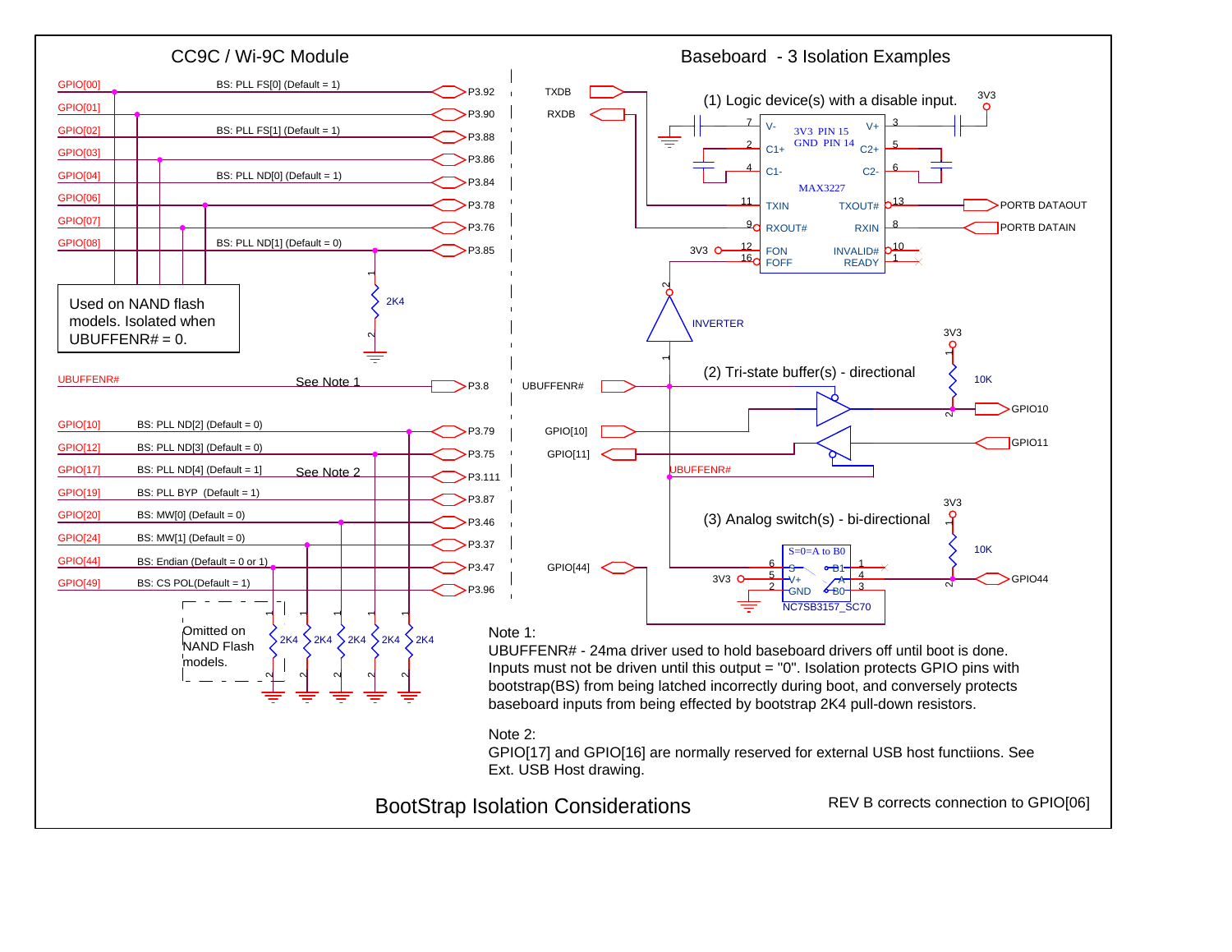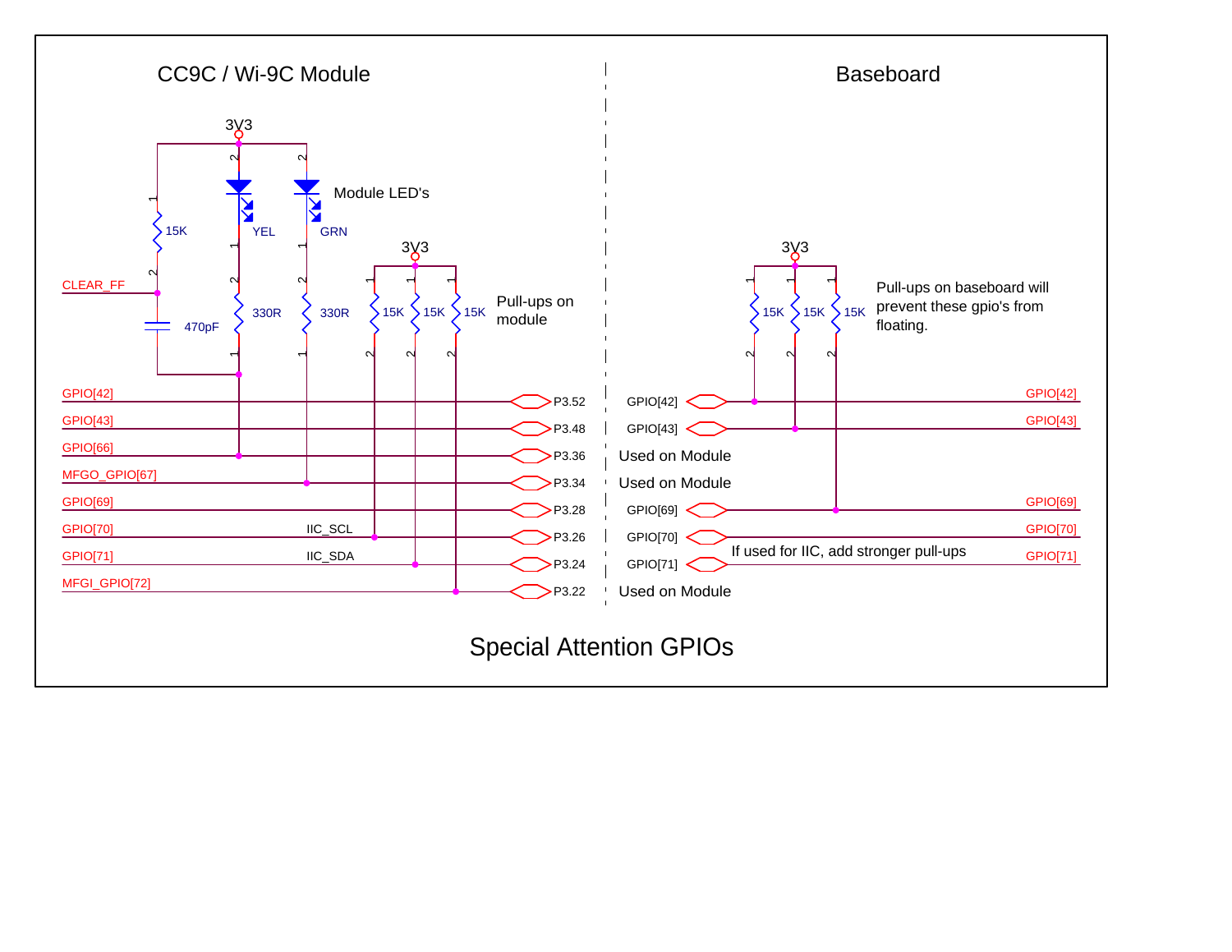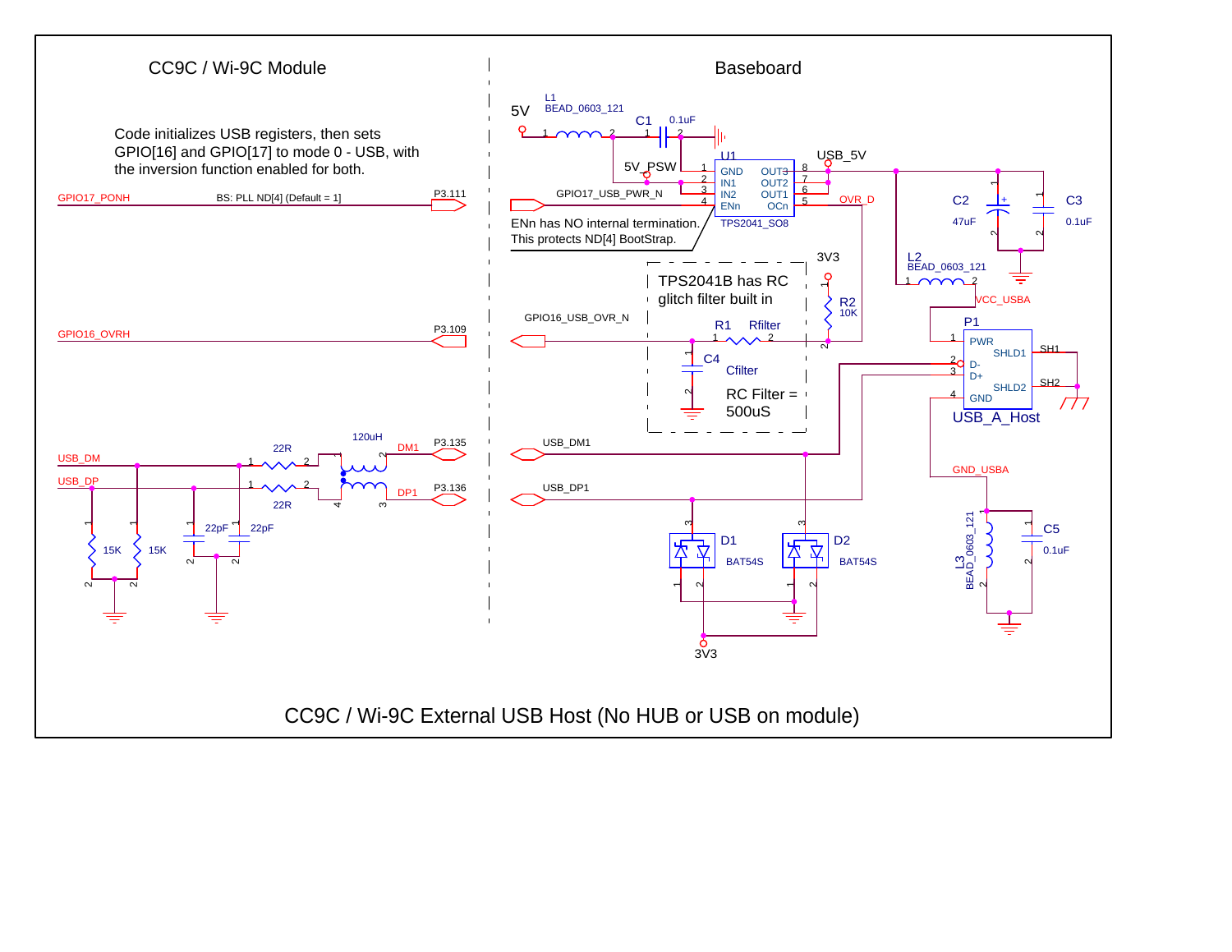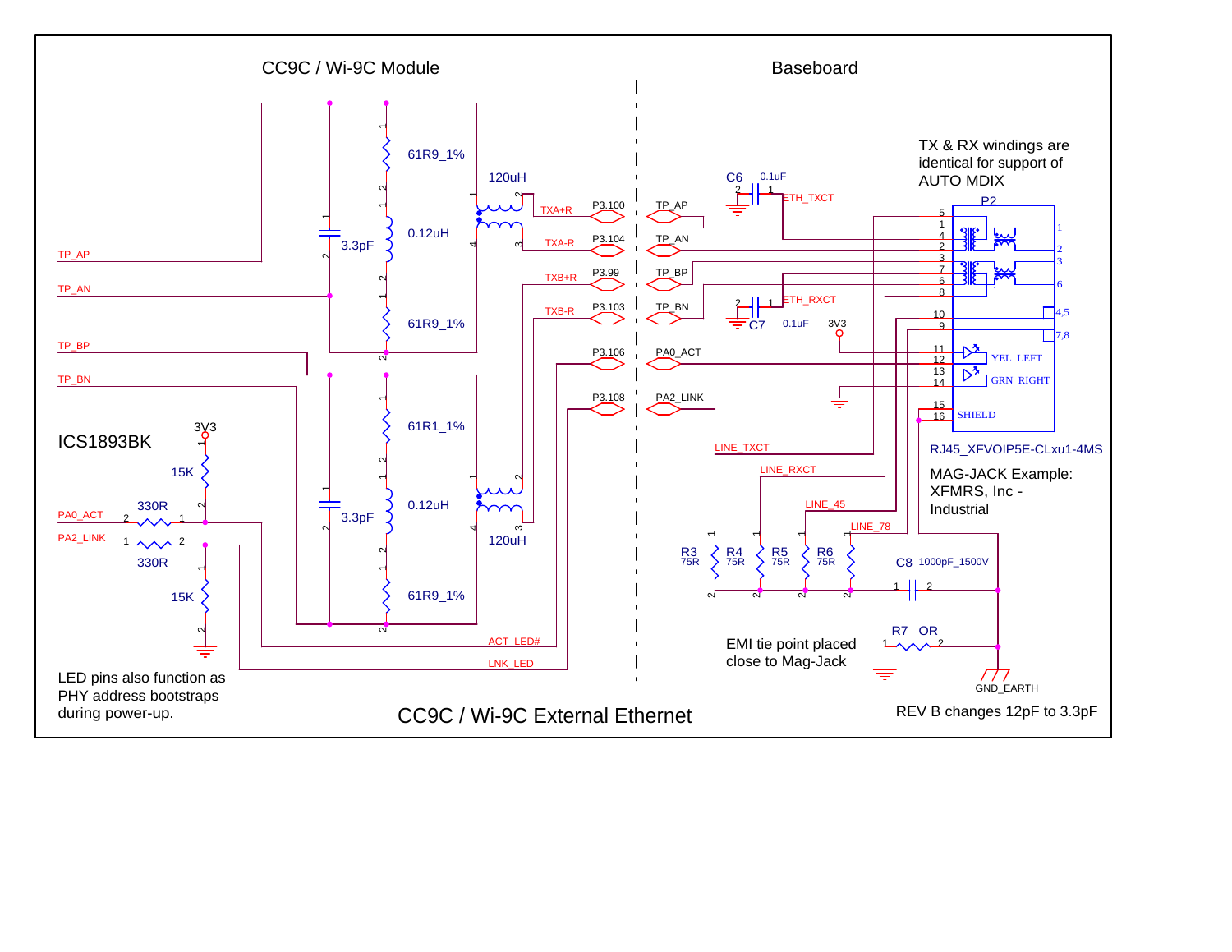